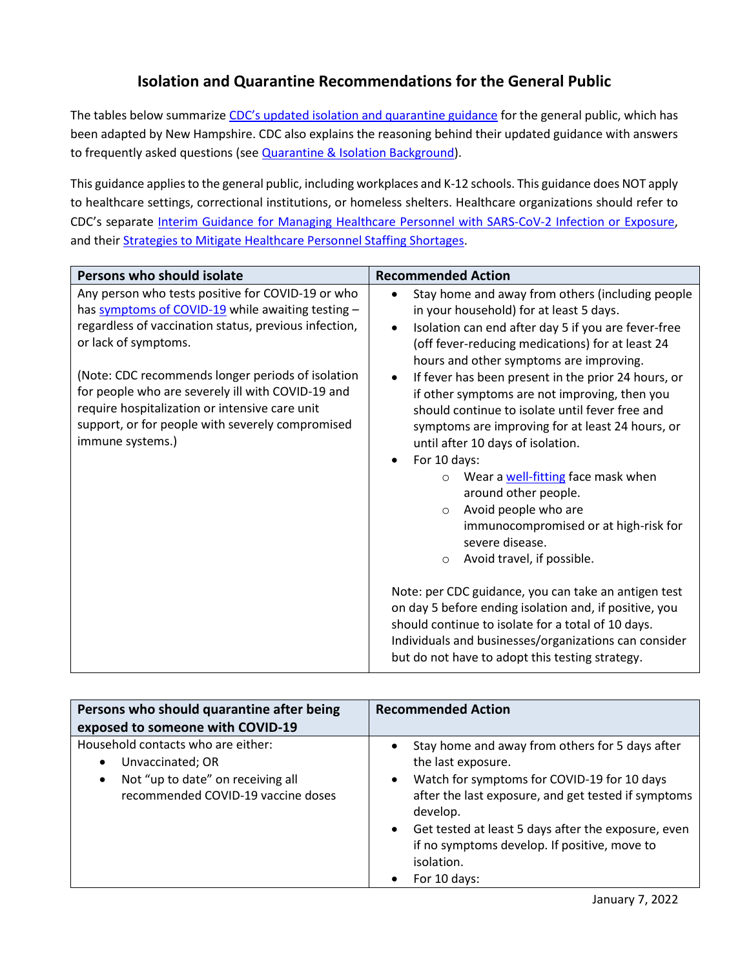## **Isolation and Quarantine Recommendations for the General Public**

The tables below summarize [CDC's updated isolation and quarantine guidance](https://www.cdc.gov/coronavirus/2019-ncov/your-health/quarantine-isolation.html) for the general public, which has been adapted by New Hampshire. CDC also explains the reasoning behind their updated guidance with answers to frequently asked questions (see **Quarantine & Isolation Background**).

This guidance applies to the general public, including workplaces and K-12 schools. This guidance does NOT apply to healthcare settings, correctional institutions, or homeless shelters. Healthcare organizations should refer to CDC's separate [Interim Guidance for Managing Healthcare Personnel with SARS-CoV-2 Infection or Exposure,](https://www.cdc.gov/coronavirus/2019-ncov/hcp/guidance-risk-assesment-hcp.html) and thei[r Strategies to Mitigate Healthcare Personnel Staffing Shortages.](https://www.cdc.gov/coronavirus/2019-ncov/hcp/mitigating-staff-shortages.html)

| Persons who should isolate                                                                                                                                                                                                                                                                                                                                                                                                  | <b>Recommended Action</b>                                                                                                                                                                                                                                                                                                                                                                                                                                                                                                                                                                                                                                                                                                                                                                   |
|-----------------------------------------------------------------------------------------------------------------------------------------------------------------------------------------------------------------------------------------------------------------------------------------------------------------------------------------------------------------------------------------------------------------------------|---------------------------------------------------------------------------------------------------------------------------------------------------------------------------------------------------------------------------------------------------------------------------------------------------------------------------------------------------------------------------------------------------------------------------------------------------------------------------------------------------------------------------------------------------------------------------------------------------------------------------------------------------------------------------------------------------------------------------------------------------------------------------------------------|
| Any person who tests positive for COVID-19 or who<br>has symptoms of COVID-19 while awaiting testing -<br>regardless of vaccination status, previous infection,<br>or lack of symptoms.<br>(Note: CDC recommends longer periods of isolation<br>for people who are severely ill with COVID-19 and<br>require hospitalization or intensive care unit<br>support, or for people with severely compromised<br>immune systems.) | Stay home and away from others (including people<br>$\bullet$<br>in your household) for at least 5 days.<br>Isolation can end after day 5 if you are fever-free<br>$\bullet$<br>(off fever-reducing medications) for at least 24<br>hours and other symptoms are improving.<br>If fever has been present in the prior 24 hours, or<br>$\bullet$<br>if other symptoms are not improving, then you<br>should continue to isolate until fever free and<br>symptoms are improving for at least 24 hours, or<br>until after 10 days of isolation.<br>For 10 days:<br>$\bullet$<br>Wear a well-fitting face mask when<br>$\circ$<br>around other people.<br>Avoid people who are<br>$\Omega$<br>immunocompromised or at high-risk for<br>severe disease.<br>Avoid travel, if possible.<br>$\circ$ |
|                                                                                                                                                                                                                                                                                                                                                                                                                             | Note: per CDC guidance, you can take an antigen test<br>on day 5 before ending isolation and, if positive, you<br>should continue to isolate for a total of 10 days.<br>Individuals and businesses/organizations can consider<br>but do not have to adopt this testing strategy.                                                                                                                                                                                                                                                                                                                                                                                                                                                                                                            |

| Persons who should quarantine after being<br>exposed to someone with COVID-19                                                                               | <b>Recommended Action</b>                                                                                                                                                                                                                                                                                                                                           |
|-------------------------------------------------------------------------------------------------------------------------------------------------------------|---------------------------------------------------------------------------------------------------------------------------------------------------------------------------------------------------------------------------------------------------------------------------------------------------------------------------------------------------------------------|
| Household contacts who are either:<br>Unvaccinated; OR<br>$\bullet$<br>Not "up to date" on receiving all<br>$\bullet$<br>recommended COVID-19 vaccine doses | Stay home and away from others for 5 days after<br>$\bullet$<br>the last exposure.<br>Watch for symptoms for COVID-19 for 10 days<br>$\bullet$<br>after the last exposure, and get tested if symptoms<br>develop.<br>Get tested at least 5 days after the exposure, even<br>$\bullet$<br>if no symptoms develop. If positive, move to<br>isolation.<br>For 10 days: |